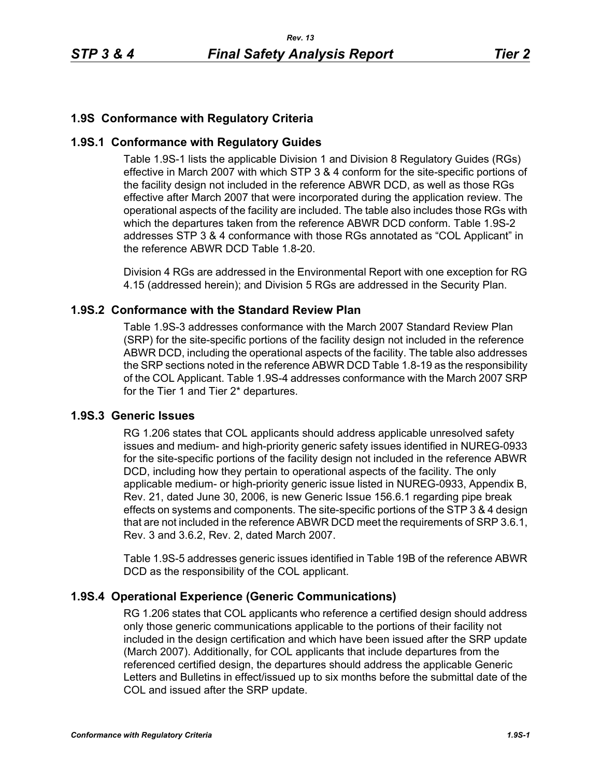# **1.9S Conformance with Regulatory Criteria**

## **1.9S.1 Conformance with Regulatory Guides**

Table 1.9S-1 lists the applicable Division 1 and Division 8 Regulatory Guides (RGs) effective in March 2007 with which STP 3 & 4 conform for the site-specific portions of the facility design not included in the reference ABWR DCD, as well as those RGs effective after March 2007 that were incorporated during the application review. The operational aspects of the facility are included. The table also includes those RGs with which the departures taken from the reference ABWR DCD conform. Table 1.9S-2 addresses STP 3 & 4 conformance with those RGs annotated as "COL Applicant" in the reference ABWR DCD Table 1.8-20.

Division 4 RGs are addressed in the Environmental Report with one exception for RG 4.15 (addressed herein); and Division 5 RGs are addressed in the Security Plan.

### **1.9S.2 Conformance with the Standard Review Plan**

Table 1.9S-3 addresses conformance with the March 2007 Standard Review Plan (SRP) for the site-specific portions of the facility design not included in the reference ABWR DCD, including the operational aspects of the facility. The table also addresses the SRP sections noted in the reference ABWR DCD Table 1.8-19 as the responsibility of the COL Applicant. Table 1.9S-4 addresses conformance with the March 2007 SRP for the Tier 1 and Tier 2\* departures.

### **1.9S.3 Generic Issues**

RG 1.206 states that COL applicants should address applicable unresolved safety issues and medium- and high-priority generic safety issues identified in NUREG-0933 for the site-specific portions of the facility design not included in the reference ABWR DCD, including how they pertain to operational aspects of the facility. The only applicable medium- or high-priority generic issue listed in NUREG-0933, Appendix B, Rev. 21, dated June 30, 2006, is new Generic Issue 156.6.1 regarding pipe break effects on systems and components. The site-specific portions of the STP 3 & 4 design that are not included in the reference ABWR DCD meet the requirements of SRP 3.6.1, Rev. 3 and 3.6.2, Rev. 2, dated March 2007.

Table 1.9S-5 addresses generic issues identified in Table 19B of the reference ABWR DCD as the responsibility of the COL applicant.

## **1.9S.4 Operational Experience (Generic Communications)**

RG 1.206 states that COL applicants who reference a certified design should address only those generic communications applicable to the portions of their facility not included in the design certification and which have been issued after the SRP update (March 2007). Additionally, for COL applicants that include departures from the referenced certified design, the departures should address the applicable Generic Letters and Bulletins in effect/issued up to six months before the submittal date of the COL and issued after the SRP update.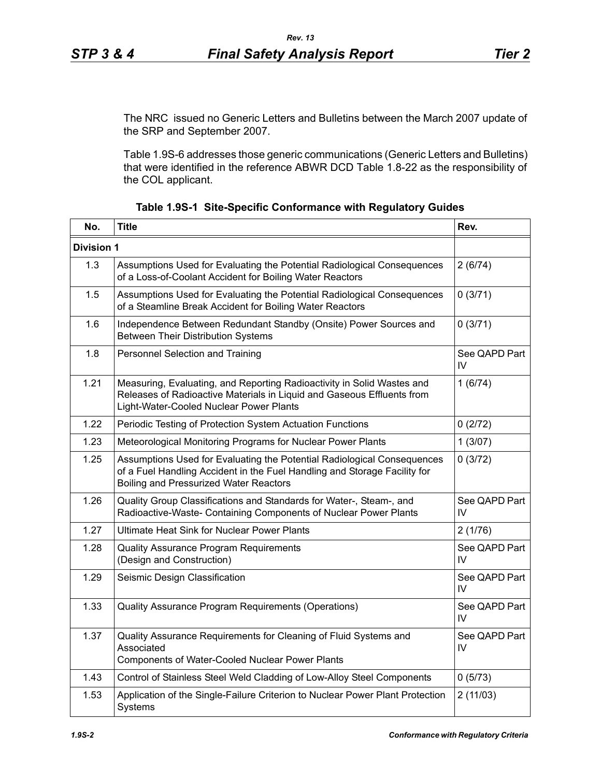The NRC issued no Generic Letters and Bulletins between the March 2007 update of the SRP and September 2007.

Table 1.9S-6 addresses those generic communications (Generic Letters and Bulletins) that were identified in the reference ABWR DCD Table 1.8-22 as the responsibility of the COL applicant.

| No.               | <b>Title</b>                                                                                                                                                                                          | Rev.                |
|-------------------|-------------------------------------------------------------------------------------------------------------------------------------------------------------------------------------------------------|---------------------|
| <b>Division 1</b> |                                                                                                                                                                                                       |                     |
| 1.3               | Assumptions Used for Evaluating the Potential Radiological Consequences<br>of a Loss-of-Coolant Accident for Boiling Water Reactors                                                                   | 2(6/74)             |
| 1.5               | Assumptions Used for Evaluating the Potential Radiological Consequences<br>of a Steamline Break Accident for Boiling Water Reactors                                                                   | 0(3/71)             |
| 1.6               | Independence Between Redundant Standby (Onsite) Power Sources and<br>Between Their Distribution Systems                                                                                               | 0(3/71)             |
| 1.8               | Personnel Selection and Training                                                                                                                                                                      | See QAPD Part<br>IV |
| 1.21              | Measuring, Evaluating, and Reporting Radioactivity in Solid Wastes and<br>Releases of Radioactive Materials in Liquid and Gaseous Effluents from<br>Light-Water-Cooled Nuclear Power Plants           | 1(6/74)             |
| 1.22              | Periodic Testing of Protection System Actuation Functions                                                                                                                                             | 0(2/72)             |
| 1.23              | Meteorological Monitoring Programs for Nuclear Power Plants                                                                                                                                           | 1(3/07)             |
| 1.25              | Assumptions Used for Evaluating the Potential Radiological Consequences<br>of a Fuel Handling Accident in the Fuel Handling and Storage Facility for<br><b>Boiling and Pressurized Water Reactors</b> | 0(3/72)             |
| 1.26              | Quality Group Classifications and Standards for Water-, Steam-, and<br>Radioactive-Waste- Containing Components of Nuclear Power Plants                                                               | See QAPD Part<br>IV |
| 1.27              | <b>Ultimate Heat Sink for Nuclear Power Plants</b>                                                                                                                                                    | 2(1/76)             |
| 1.28              | Quality Assurance Program Requirements<br>(Design and Construction)                                                                                                                                   | See QAPD Part<br>IV |
| 1.29              | Seismic Design Classification                                                                                                                                                                         | See QAPD Part<br>IV |
| 1.33              | Quality Assurance Program Requirements (Operations)                                                                                                                                                   | See QAPD Part<br>IV |
| 1.37              | Quality Assurance Requirements for Cleaning of Fluid Systems and<br>Associated<br>Components of Water-Cooled Nuclear Power Plants                                                                     | See QAPD Part<br>IV |
| 1.43              | Control of Stainless Steel Weld Cladding of Low-Alloy Steel Components                                                                                                                                | 0(5/73)             |
| 1.53              | Application of the Single-Failure Criterion to Nuclear Power Plant Protection<br>Systems                                                                                                              | 2(11/03)            |

|  |  | Table 1.9S-1 Site-Specific Conformance with Regulatory Guides |  |  |
|--|--|---------------------------------------------------------------|--|--|
|--|--|---------------------------------------------------------------|--|--|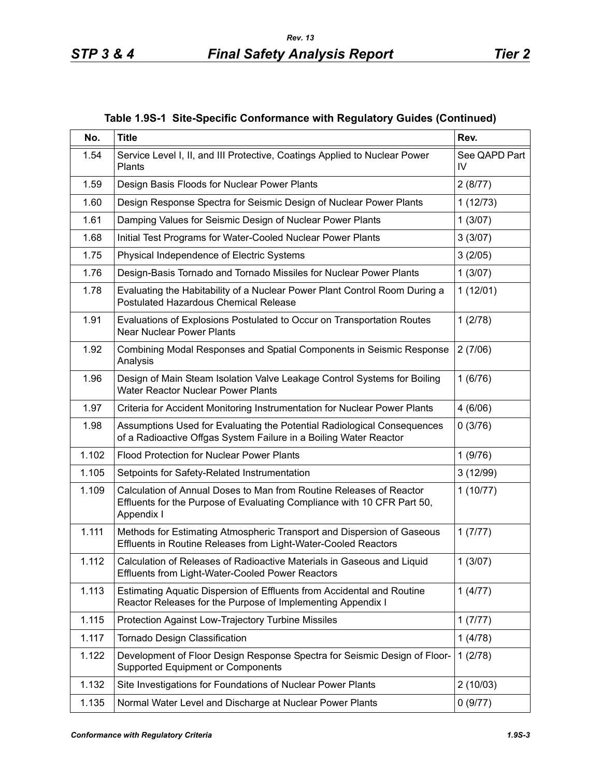| No.   | <b>Title</b>                                                                                                                                                 | Rev.                |
|-------|--------------------------------------------------------------------------------------------------------------------------------------------------------------|---------------------|
| 1.54  | Service Level I, II, and III Protective, Coatings Applied to Nuclear Power<br>Plants                                                                         | See QAPD Part<br>IV |
| 1.59  | Design Basis Floods for Nuclear Power Plants                                                                                                                 | 2(8/77)             |
| 1.60  | Design Response Spectra for Seismic Design of Nuclear Power Plants                                                                                           | 1(12/73)            |
| 1.61  | Damping Values for Seismic Design of Nuclear Power Plants                                                                                                    | 1(3/07)             |
| 1.68  | Initial Test Programs for Water-Cooled Nuclear Power Plants                                                                                                  | 3(3/07)             |
| 1.75  | Physical Independence of Electric Systems                                                                                                                    | 3(2/05)             |
| 1.76  | Design-Basis Tornado and Tornado Missiles for Nuclear Power Plants                                                                                           | 1(3/07)             |
| 1.78  | Evaluating the Habitability of a Nuclear Power Plant Control Room During a<br><b>Postulated Hazardous Chemical Release</b>                                   | 1(12/01)            |
| 1.91  | Evaluations of Explosions Postulated to Occur on Transportation Routes<br><b>Near Nuclear Power Plants</b>                                                   | 1(2/78)             |
| 1.92  | Combining Modal Responses and Spatial Components in Seismic Response<br>Analysis                                                                             | 2(7/06)             |
| 1.96  | Design of Main Steam Isolation Valve Leakage Control Systems for Boiling<br><b>Water Reactor Nuclear Power Plants</b>                                        | 1(6/76)             |
| 1.97  | Criteria for Accident Monitoring Instrumentation for Nuclear Power Plants                                                                                    | 4(6/06)             |
| 1.98  | Assumptions Used for Evaluating the Potential Radiological Consequences<br>of a Radioactive Offgas System Failure in a Boiling Water Reactor                 | 0(3/76)             |
| 1.102 | <b>Flood Protection for Nuclear Power Plants</b>                                                                                                             | 1(9/76)             |
| 1.105 | Setpoints for Safety-Related Instrumentation                                                                                                                 | 3(12/99)            |
| 1.109 | Calculation of Annual Doses to Man from Routine Releases of Reactor<br>Effluents for the Purpose of Evaluating Compliance with 10 CFR Part 50,<br>Appendix I | 1(10/77)            |
| 1.111 | Methods for Estimating Atmospheric Transport and Dispersion of Gaseous<br>Effluents in Routine Releases from Light-Water-Cooled Reactors                     | 1(7/77)             |
| 1.112 | Calculation of Releases of Radioactive Materials in Gaseous and Liquid<br><b>Effluents from Light-Water-Cooled Power Reactors</b>                            | 1(3/07)             |
| 1.113 | Estimating Aquatic Dispersion of Effluents from Accidental and Routine<br>Reactor Releases for the Purpose of Implementing Appendix I                        | 1(4/77)             |
| 1.115 | Protection Against Low-Trajectory Turbine Missiles                                                                                                           | 1(7/77)             |
| 1.117 | Tornado Design Classification                                                                                                                                | 1(4/78)             |
| 1.122 | Development of Floor Design Response Spectra for Seismic Design of Floor-<br><b>Supported Equipment or Components</b>                                        | 1(2/78)             |
| 1.132 | Site Investigations for Foundations of Nuclear Power Plants                                                                                                  | 2(10/03)            |
| 1.135 | Normal Water Level and Discharge at Nuclear Power Plants                                                                                                     | 0(9/77)             |

**Table 1.9S-1 Site-Specific Conformance with Regulatory Guides (Continued)**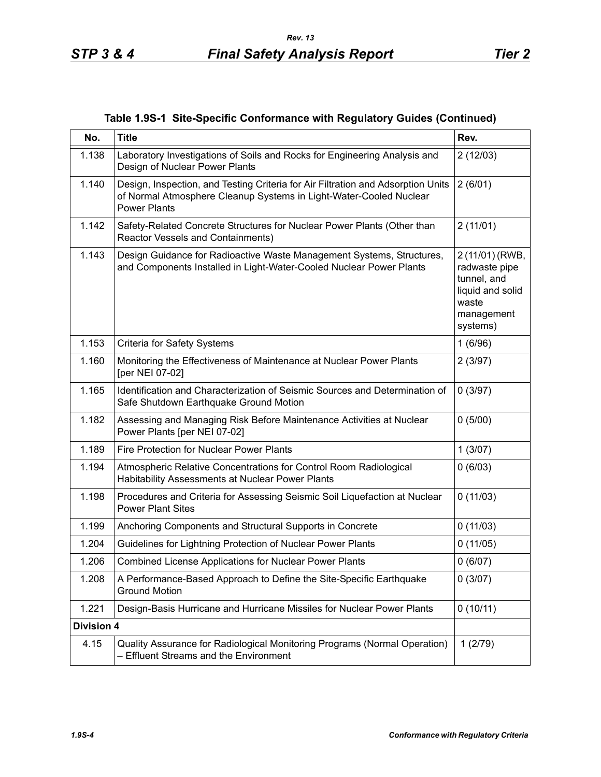|  |  | Table 1.9S-1 Site-Specific Conformance with Regulatory Guides (Continued) |  |  |  |
|--|--|---------------------------------------------------------------------------|--|--|--|
|--|--|---------------------------------------------------------------------------|--|--|--|

| No.               | <b>Title</b>                                                                                                                                                                  | Rev.                                                                                                   |
|-------------------|-------------------------------------------------------------------------------------------------------------------------------------------------------------------------------|--------------------------------------------------------------------------------------------------------|
| 1.138             | Laboratory Investigations of Soils and Rocks for Engineering Analysis and<br>Design of Nuclear Power Plants                                                                   | 2(12/03)                                                                                               |
| 1.140             | Design, Inspection, and Testing Criteria for Air Filtration and Adsorption Units<br>of Normal Atmosphere Cleanup Systems in Light-Water-Cooled Nuclear<br><b>Power Plants</b> | 2(6/01)                                                                                                |
| 1.142             | Safety-Related Concrete Structures for Nuclear Power Plants (Other than<br>Reactor Vessels and Containments)                                                                  | 2(11/01)                                                                                               |
| 1.143             | Design Guidance for Radioactive Waste Management Systems, Structures,<br>and Components Installed in Light-Water-Cooled Nuclear Power Plants                                  | 2 (11/01) (RWB,<br>radwaste pipe<br>tunnel, and<br>liquid and solid<br>waste<br>management<br>systems) |
| 1.153             | Criteria for Safety Systems                                                                                                                                                   | 1(6/96)                                                                                                |
| 1.160             | Monitoring the Effectiveness of Maintenance at Nuclear Power Plants<br>[per NEI 07-02]                                                                                        | 2(3/97)                                                                                                |
| 1.165             | Identification and Characterization of Seismic Sources and Determination of<br>Safe Shutdown Earthquake Ground Motion                                                         | 0(3/97)                                                                                                |
| 1.182             | Assessing and Managing Risk Before Maintenance Activities at Nuclear<br>Power Plants [per NEI 07-02]                                                                          | 0(5/00)                                                                                                |
| 1.189             | Fire Protection for Nuclear Power Plants                                                                                                                                      | 1(3/07)                                                                                                |
| 1.194             | Atmospheric Relative Concentrations for Control Room Radiological<br>Habitability Assessments at Nuclear Power Plants                                                         | 0(6/03)                                                                                                |
| 1.198             | Procedures and Criteria for Assessing Seismic Soil Liquefaction at Nuclear<br><b>Power Plant Sites</b>                                                                        | 0(11/03)                                                                                               |
| 1.199             | Anchoring Components and Structural Supports in Concrete                                                                                                                      | 0(11/03)                                                                                               |
| 1.204             | Guidelines for Lightning Protection of Nuclear Power Plants                                                                                                                   | 0(11/05)                                                                                               |
| 1.206             | Combined License Applications for Nuclear Power Plants                                                                                                                        | 0(6/07)                                                                                                |
| 1.208             | A Performance-Based Approach to Define the Site-Specific Earthquake<br><b>Ground Motion</b>                                                                                   | 0(3/07)                                                                                                |
| 1.221             | Design-Basis Hurricane and Hurricane Missiles for Nuclear Power Plants                                                                                                        | 0(10/11)                                                                                               |
| <b>Division 4</b> |                                                                                                                                                                               |                                                                                                        |
| 4.15              | Quality Assurance for Radiological Monitoring Programs (Normal Operation)<br>- Effluent Streams and the Environment                                                           | 1(2/79)                                                                                                |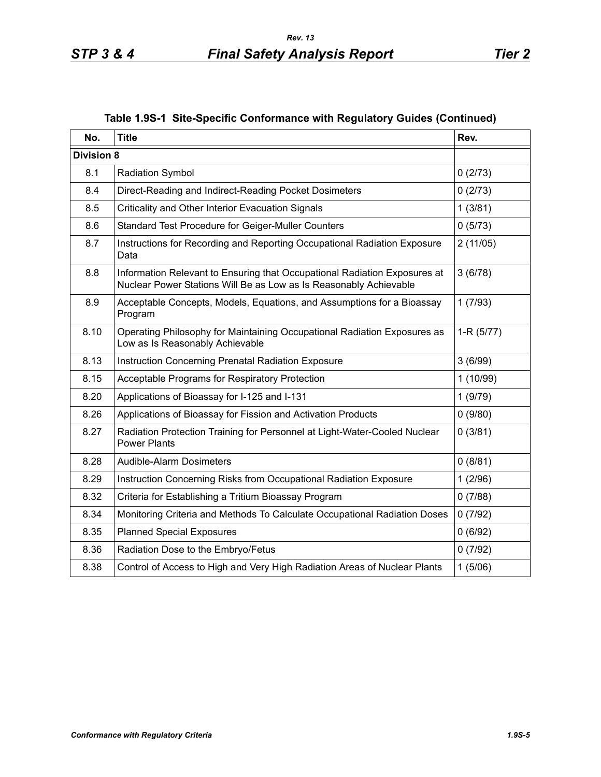| No.               | <b>Title</b>                                                                                                                                   | Rev.        |
|-------------------|------------------------------------------------------------------------------------------------------------------------------------------------|-------------|
| <b>Division 8</b> |                                                                                                                                                |             |
| 8.1               | <b>Radiation Symbol</b>                                                                                                                        | 0(2/73)     |
| 8.4               | Direct-Reading and Indirect-Reading Pocket Dosimeters                                                                                          | 0(2/73)     |
| 8.5               | Criticality and Other Interior Evacuation Signals                                                                                              | 1(3/81)     |
| 8.6               | Standard Test Procedure for Geiger-Muller Counters                                                                                             | 0(5/73)     |
| 8.7               | Instructions for Recording and Reporting Occupational Radiation Exposure<br>Data                                                               | 2(11/05)    |
| 8.8               | Information Relevant to Ensuring that Occupational Radiation Exposures at<br>Nuclear Power Stations Will Be as Low as Is Reasonably Achievable | 3(6/78)     |
| 8.9               | Acceptable Concepts, Models, Equations, and Assumptions for a Bioassay<br>Program                                                              | 1(7/93)     |
| 8.10              | Operating Philosophy for Maintaining Occupational Radiation Exposures as<br>Low as Is Reasonably Achievable                                    | $1-R(5/77)$ |
| 8.13              | Instruction Concerning Prenatal Radiation Exposure                                                                                             | 3(6/99)     |
| 8.15              | Acceptable Programs for Respiratory Protection                                                                                                 | 1(10/99)    |
| 8.20              | Applications of Bioassay for I-125 and I-131                                                                                                   | 1(9/79)     |
| 8.26              | Applications of Bioassay for Fission and Activation Products                                                                                   | 0(9/80)     |
| 8.27              | Radiation Protection Training for Personnel at Light-Water-Cooled Nuclear<br><b>Power Plants</b>                                               | 0(3/81)     |
| 8.28              | Audible-Alarm Dosimeters                                                                                                                       | 0(8/81)     |
| 8.29              | Instruction Concerning Risks from Occupational Radiation Exposure                                                                              | 1(2/96)     |
| 8.32              | Criteria for Establishing a Tritium Bioassay Program                                                                                           | 0(7/88)     |
| 8.34              | Monitoring Criteria and Methods To Calculate Occupational Radiation Doses                                                                      | 0(7/92)     |
| 8.35              | <b>Planned Special Exposures</b>                                                                                                               | 0(6/92)     |
| 8.36              | Radiation Dose to the Embryo/Fetus                                                                                                             | 0(7/92)     |
| 8.38              | Control of Access to High and Very High Radiation Areas of Nuclear Plants                                                                      | 1(5/06)     |

# **Table 1.9S-1 Site-Specific Conformance with Regulatory Guides (Continued)**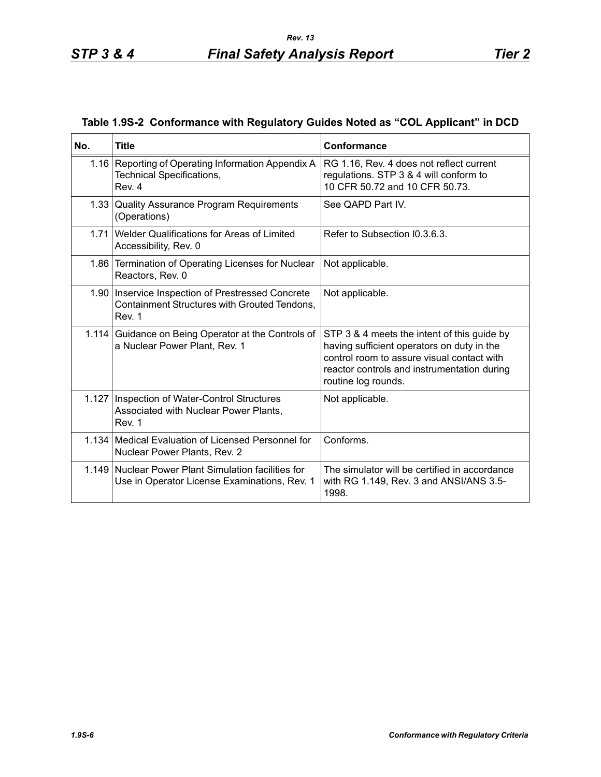|  |  | Table 1.9S-2 Conformance with Regulatory Guides Noted as "COL Applicant" in DCD |
|--|--|---------------------------------------------------------------------------------|
|  |  |                                                                                 |

| No. | <b>Title</b>                                                                                                  | Conformance                                                                                                                                                                                                   |
|-----|---------------------------------------------------------------------------------------------------------------|---------------------------------------------------------------------------------------------------------------------------------------------------------------------------------------------------------------|
|     | 1.16 Reporting of Operating Information Appendix A<br><b>Technical Specifications,</b><br>Rev. 4              | RG 1.16, Rev. 4 does not reflect current<br>regulations. STP 3 & 4 will conform to<br>10 CFR 50.72 and 10 CFR 50.73.                                                                                          |
|     | 1.33 Quality Assurance Program Requirements<br>(Operations)                                                   | See QAPD Part IV.                                                                                                                                                                                             |
|     | 1.71 Welder Qualifications for Areas of Limited<br>Accessibility, Rev. 0                                      | Refer to Subsection 10.3.6.3.                                                                                                                                                                                 |
|     | 1.86 Termination of Operating Licenses for Nuclear<br>Reactors, Rev. 0                                        | Not applicable.                                                                                                                                                                                               |
|     | 1.90   Inservice Inspection of Prestressed Concrete<br>Containment Structures with Grouted Tendons,<br>Rev. 1 | Not applicable.                                                                                                                                                                                               |
|     | 1.114 Guidance on Being Operator at the Controls of<br>a Nuclear Power Plant, Rev. 1                          | STP 3 & 4 meets the intent of this guide by<br>having sufficient operators on duty in the<br>control room to assure visual contact with<br>reactor controls and instrumentation during<br>routine log rounds. |
|     | 1.127   Inspection of Water-Control Structures<br>Associated with Nuclear Power Plants,<br>Rev. 1             | Not applicable.                                                                                                                                                                                               |
|     | 1.134   Medical Evaluation of Licensed Personnel for<br>Nuclear Power Plants, Rev. 2                          | Conforms.                                                                                                                                                                                                     |
|     | 1.149 Nuclear Power Plant Simulation facilities for<br>Use in Operator License Examinations, Rev. 1           | The simulator will be certified in accordance<br>with RG 1.149, Rev. 3 and ANSI/ANS 3.5-<br>1998.                                                                                                             |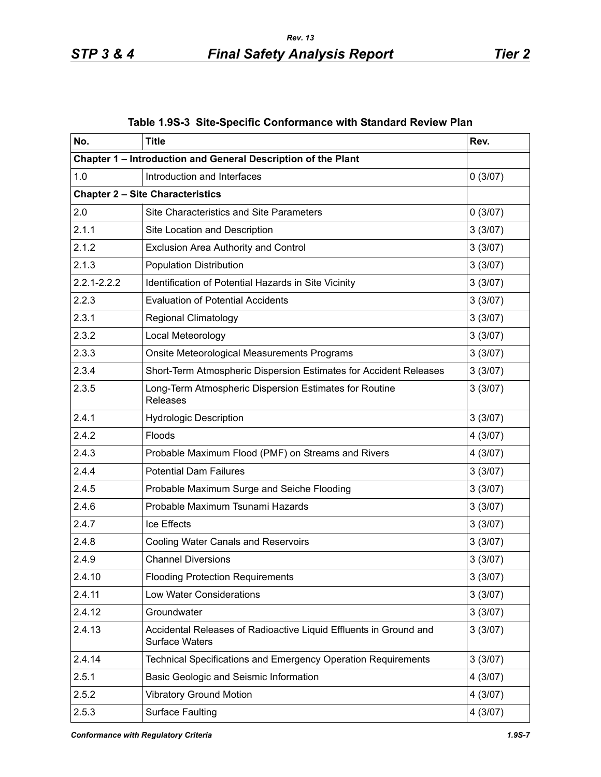| No.             | <b>Title</b>                                                                               | Rev.    |
|-----------------|--------------------------------------------------------------------------------------------|---------|
|                 | Chapter 1 - Introduction and General Description of the Plant                              |         |
| 1.0             | Introduction and Interfaces                                                                | 0(3/07) |
|                 | <b>Chapter 2 - Site Characteristics</b>                                                    |         |
| 2.0             | Site Characteristics and Site Parameters                                                   | 0(3/07) |
| 2.1.1           | Site Location and Description                                                              | 3(3/07) |
| 2.1.2           | <b>Exclusion Area Authority and Control</b>                                                | 3(3/07) |
| 2.1.3           | <b>Population Distribution</b>                                                             | 3(3/07) |
| $2.2.1 - 2.2.2$ | Identification of Potential Hazards in Site Vicinity                                       | 3(3/07) |
| 2.2.3           | <b>Evaluation of Potential Accidents</b>                                                   | 3(3/07) |
| 2.3.1           | <b>Regional Climatology</b>                                                                | 3(3/07) |
| 2.3.2           | Local Meteorology                                                                          | 3(3/07) |
| 2.3.3           | Onsite Meteorological Measurements Programs                                                | 3(3/07) |
| 2.3.4           | Short-Term Atmospheric Dispersion Estimates for Accident Releases                          | 3(3/07) |
| 2.3.5           | Long-Term Atmospheric Dispersion Estimates for Routine<br><b>Releases</b>                  | 3(3/07) |
| 2.4.1           | <b>Hydrologic Description</b>                                                              | 3(3/07) |
| 2.4.2           | Floods                                                                                     | 4(3/07) |
| 2.4.3           | Probable Maximum Flood (PMF) on Streams and Rivers                                         | 4(3/07) |
| 2.4.4           | <b>Potential Dam Failures</b>                                                              | 3(3/07) |
| 2.4.5           | Probable Maximum Surge and Seiche Flooding                                                 | 3(3/07) |
| 2.4.6           | Probable Maximum Tsunami Hazards                                                           | 3(3/07) |
| 2.4.7           | Ice Effects                                                                                | 3(3/07) |
| 2.4.8           | <b>Cooling Water Canals and Reservoirs</b>                                                 | 3(3/07) |
| 2.4.9           | <b>Channel Diversions</b>                                                                  | 3(3/07) |
| 2.4.10          | <b>Flooding Protection Requirements</b>                                                    | 3(3/07) |
| 2.4.11          | Low Water Considerations                                                                   | 3(3/07) |
| 2.4.12          | Groundwater                                                                                | 3(3/07) |
| 2.4.13          | Accidental Releases of Radioactive Liquid Effluents in Ground and<br><b>Surface Waters</b> | 3(3/07) |
| 2.4.14          | Technical Specifications and Emergency Operation Requirements                              | 3(3/07) |
| 2.5.1           | Basic Geologic and Seismic Information                                                     | 4(3/07) |
| 2.5.2           | <b>Vibratory Ground Motion</b>                                                             | 4(3/07) |
| 2.5.3           | <b>Surface Faulting</b>                                                                    | 4(3/07) |

**Table 1.9S-3 Site-Specific Conformance with Standard Review Plan**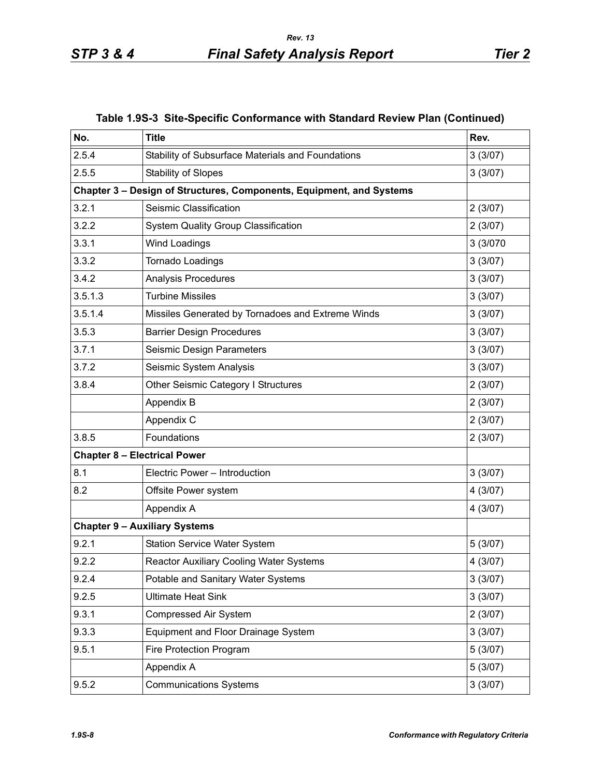| No.     | <b>Title</b>                                                         | Rev.     |
|---------|----------------------------------------------------------------------|----------|
| 2.5.4   | Stability of Subsurface Materials and Foundations                    | 3(3/07)  |
| 2.5.5   | <b>Stability of Slopes</b>                                           | 3(3/07)  |
|         | Chapter 3 - Design of Structures, Components, Equipment, and Systems |          |
| 3.2.1   | Seismic Classification                                               | 2(3/07)  |
| 3.2.2   | System Quality Group Classification                                  | 2(3/07)  |
| 3.3.1   | <b>Wind Loadings</b>                                                 | 3 (3/070 |
| 3.3.2   | Tornado Loadings                                                     | 3(3/07)  |
| 3.4.2   | Analysis Procedures                                                  | 3(3/07)  |
| 3.5.1.3 | <b>Turbine Missiles</b>                                              | 3(3/07)  |
| 3.5.1.4 | Missiles Generated by Tornadoes and Extreme Winds                    | 3(3/07)  |
| 3.5.3   | <b>Barrier Design Procedures</b>                                     | 3(3/07)  |
| 3.7.1   | Seismic Design Parameters                                            | 3(3/07)  |
| 3.7.2   | Seismic System Analysis                                              | 3(3/07)  |
| 3.8.4   | Other Seismic Category I Structures                                  | 2(3/07)  |
|         | Appendix B                                                           | 2(3/07)  |
|         | Appendix C                                                           | 2(3/07)  |
| 3.8.5   | Foundations                                                          | 2(3/07)  |
|         | <b>Chapter 8 - Electrical Power</b>                                  |          |
| 8.1     | Electric Power - Introduction                                        | 3(3/07)  |
| 8.2     | Offsite Power system                                                 | 4(3/07)  |
|         | Appendix A                                                           | 4(3/07)  |
|         | <b>Chapter 9 - Auxiliary Systems</b>                                 |          |
| 9.2.1   | <b>Station Service Water System</b>                                  | 5(3/07)  |
| 9.2.2   | Reactor Auxiliary Cooling Water Systems                              | 4 (3/07) |
| 9.2.4   | Potable and Sanitary Water Systems                                   | 3(3/07)  |
| 9.2.5   | <b>Ultimate Heat Sink</b>                                            | 3(3/07)  |
| 9.3.1   | Compressed Air System                                                | 2(3/07)  |
| 9.3.3   | Equipment and Floor Drainage System                                  | 3(3/07)  |
| 9.5.1   | Fire Protection Program                                              | 5(3/07)  |
|         | Appendix A                                                           | 5(3/07)  |
| 9.5.2   | <b>Communications Systems</b>                                        | 3(3/07)  |

|  |  | Table 1.9S-3 Site-Specific Conformance with Standard Review Plan (Continued) |  |  |  |
|--|--|------------------------------------------------------------------------------|--|--|--|
|--|--|------------------------------------------------------------------------------|--|--|--|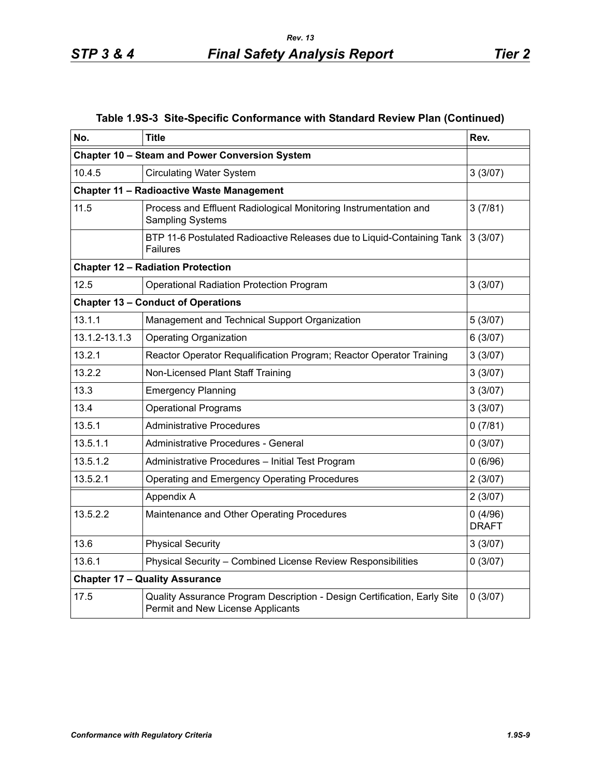| Table 1.9S-3 Site-Specific Conformance with Standard Review Plan (Continued) |  |  |  |  |  |  |
|------------------------------------------------------------------------------|--|--|--|--|--|--|
|------------------------------------------------------------------------------|--|--|--|--|--|--|

| No.           | <b>Title</b>                                                                                                  | Rev.                    |
|---------------|---------------------------------------------------------------------------------------------------------------|-------------------------|
|               | Chapter 10 - Steam and Power Conversion System                                                                |                         |
| 10.4.5        | <b>Circulating Water System</b>                                                                               | 3(3/07)                 |
|               | <b>Chapter 11 - Radioactive Waste Management</b>                                                              |                         |
| 11.5          | Process and Effluent Radiological Monitoring Instrumentation and<br><b>Sampling Systems</b>                   | 3(7/81)                 |
|               | BTP 11-6 Postulated Radioactive Releases due to Liquid-Containing Tank<br><b>Failures</b>                     | 3(3/07)                 |
|               | <b>Chapter 12 - Radiation Protection</b>                                                                      |                         |
| 12.5          | <b>Operational Radiation Protection Program</b>                                                               | 3(3/07)                 |
|               | <b>Chapter 13 - Conduct of Operations</b>                                                                     |                         |
| 13.1.1        | Management and Technical Support Organization                                                                 | 5(3/07)                 |
| 13.1.2-13.1.3 | <b>Operating Organization</b>                                                                                 | 6(3/07)                 |
| 13.2.1        | Reactor Operator Requalification Program; Reactor Operator Training                                           | 3(3/07)                 |
| 13.2.2        | Non-Licensed Plant Staff Training                                                                             | 3(3/07)                 |
| 13.3          | <b>Emergency Planning</b>                                                                                     | 3(3/07)                 |
| 13.4          | <b>Operational Programs</b>                                                                                   | 3(3/07)                 |
| 13.5.1        | <b>Administrative Procedures</b>                                                                              | 0(7/81)                 |
| 13.5.1.1      | Administrative Procedures - General                                                                           | 0(3/07)                 |
| 13.5.1.2      | Administrative Procedures - Initial Test Program                                                              | 0(6/96)                 |
| 13.5.2.1      | <b>Operating and Emergency Operating Procedures</b>                                                           | 2(3/07)                 |
|               | Appendix A                                                                                                    | 2(3/07)                 |
| 13.5.2.2      | Maintenance and Other Operating Procedures                                                                    | 0(4/96)<br><b>DRAFT</b> |
| 13.6          | <b>Physical Security</b>                                                                                      | 3(3/07)                 |
| 13.6.1        | Physical Security - Combined License Review Responsibilities                                                  | 0(3/07)                 |
|               | <b>Chapter 17 - Quality Assurance</b>                                                                         |                         |
| 17.5          | Quality Assurance Program Description - Design Certification, Early Site<br>Permit and New License Applicants | 0(3/07)                 |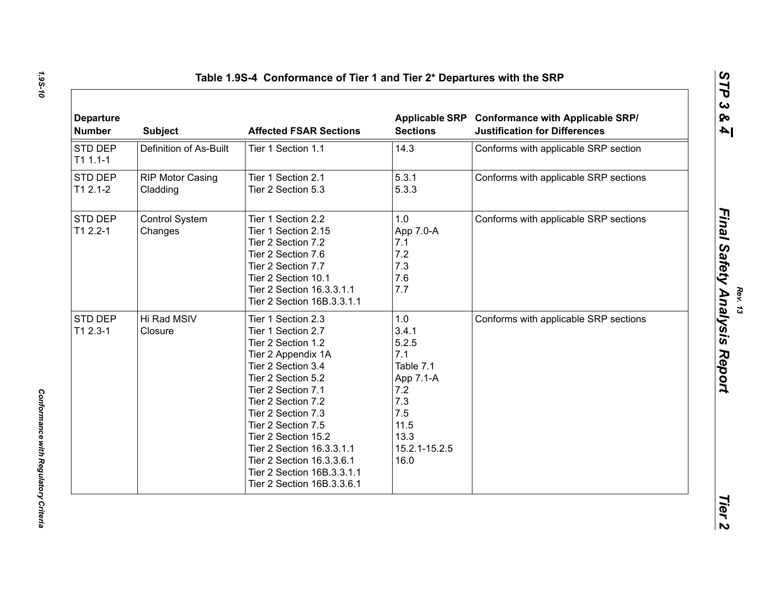| <b>Departure</b><br><b>Number</b> | <b>Subject</b>                      | <b>Affected FSAR Sections</b>                                                                                                                                                                                                                                                                                                                                         | <b>Sections</b>                                                                                                      | Applicable SRP Conformance with Applicable SRP/<br><b>Justification for Differences</b> |
|-----------------------------------|-------------------------------------|-----------------------------------------------------------------------------------------------------------------------------------------------------------------------------------------------------------------------------------------------------------------------------------------------------------------------------------------------------------------------|----------------------------------------------------------------------------------------------------------------------|-----------------------------------------------------------------------------------------|
| STD DEP<br>$T11.1-1$              | Definition of As-Built              | Tier 1 Section 1.1                                                                                                                                                                                                                                                                                                                                                    | 14.3                                                                                                                 | Conforms with applicable SRP section                                                    |
| STD DEP<br>$T12.1-2$              | <b>RIP Motor Casing</b><br>Cladding | Tier 1 Section 2.1<br>Tier 2 Section 5.3                                                                                                                                                                                                                                                                                                                              | 5.3.1<br>5.3.3                                                                                                       | Conforms with applicable SRP sections                                                   |
| STD DEP<br>T1 2.2-1               | <b>Control System</b><br>Changes    | Tier 1 Section 2.2<br>Tier 1 Section 2.15<br>Tier 2 Section 7.2<br>Tier 2 Section 7.6<br>Tier 2 Section 7.7<br>Tier 2 Section 10.1<br>Tier 2 Section 16.3.3.1.1<br>Tier 2 Section 16B.3.3.1.1                                                                                                                                                                         | 1.0<br>App 7.0-A<br>7.1<br>7.2<br>7.3<br>7.6<br>7.7                                                                  | Conforms with applicable SRP sections                                                   |
| STD DEP<br>$T12.3-1$              | Hi Rad MSIV<br>Closure              | Tier 1 Section 2.3<br>Tier 1 Section 2.7<br>Tier 2 Section 1.2<br>Tier 2 Appendix 1A<br>Tier 2 Section 3.4<br>Tier 2 Section 5.2<br>Tier 2 Section 7.1<br>Tier 2 Section 7.2<br>Tier 2 Section 7.3<br>Tier 2 Section 7.5<br>Tier 2 Section 15.2<br>Tier 2 Section 16.3.3.1.1<br>Tier 2 Section 16.3.3.6.1<br>Tier 2 Section 16B.3.3.1.1<br>Tier 2 Section 16B.3.3.6.1 | 1.0<br>3.4.1<br>5.2.5<br>7.1<br>Table 7.1<br>App 7.1-A<br>7.2<br>7.3<br>7.5<br>11.5<br>13.3<br>15.2.1-15.2.5<br>16.0 | Conforms with applicable SRP sections                                                   |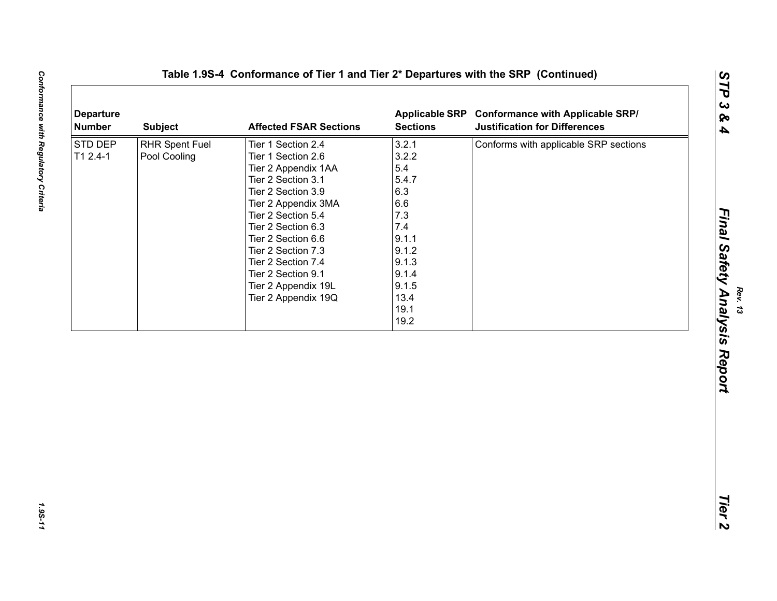| <b>Departure</b><br><b>Number</b> | <b>Subject</b>                 | <b>Affected FSAR Sections</b>                                                                                                                                                                                                                                                                                        | <b>Sections</b>                                                                                                                 | Applicable SRP Conformance with Applicable SRP/<br><b>Justification for Differences</b> |
|-----------------------------------|--------------------------------|----------------------------------------------------------------------------------------------------------------------------------------------------------------------------------------------------------------------------------------------------------------------------------------------------------------------|---------------------------------------------------------------------------------------------------------------------------------|-----------------------------------------------------------------------------------------|
| STD DEP<br>$T12.4-1$              | RHR Spent Fuel<br>Pool Cooling | Tier 1 Section 2.4<br>Tier 1 Section 2.6<br>Tier 2 Appendix 1AA<br>Tier 2 Section 3.1<br>Tier 2 Section 3.9<br>Tier 2 Appendix 3MA<br>Tier 2 Section 5.4<br>Tier 2 Section 6.3<br>Tier 2 Section 6.6<br>Tier 2 Section 7.3<br>Tier 2 Section 7.4<br>Tier 2 Section 9.1<br>Tier 2 Appendix 19L<br>Tier 2 Appendix 19Q | 3.2.1<br>3.2.2<br>5.4<br>5.4.7<br>6.3<br>6.6<br>7.3<br>7.4<br>9.1.1<br>9.1.2<br>9.1.3<br>9.1.4<br>9.1.5<br>13.4<br>19.1<br>19.2 | Conforms with applicable SRP sections                                                   |
|                                   |                                |                                                                                                                                                                                                                                                                                                                      |                                                                                                                                 |                                                                                         |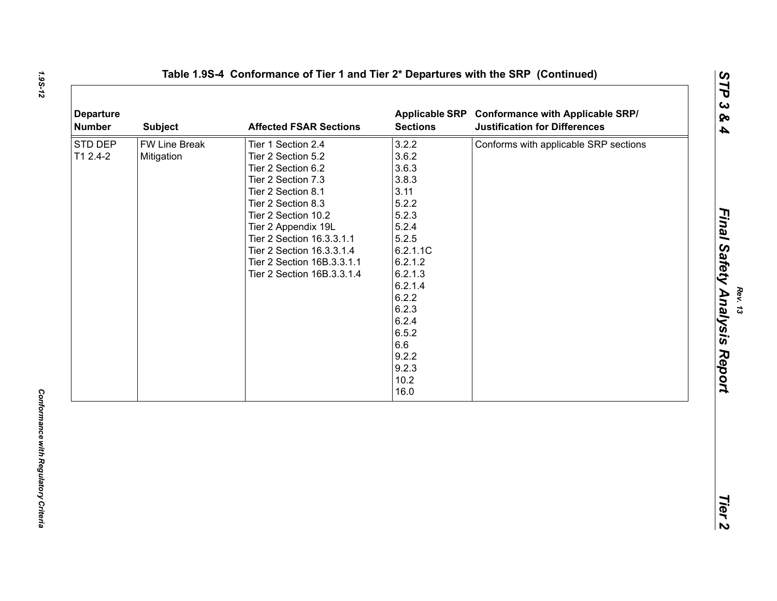| STD DEP<br>T1 2.4-2 | FW Line Break<br>Mitigation | Tier 1 Section 2.4                                                                                                                                                                                                                                                             |                                                                                                                                                                                                        | <b>Justification for Differences</b>  |
|---------------------|-----------------------------|--------------------------------------------------------------------------------------------------------------------------------------------------------------------------------------------------------------------------------------------------------------------------------|--------------------------------------------------------------------------------------------------------------------------------------------------------------------------------------------------------|---------------------------------------|
|                     |                             | Tier 2 Section 5.2<br>Tier 2 Section 6.2<br>Tier 2 Section 7.3<br>Tier 2 Section 8.1<br>Tier 2 Section 8.3<br>Tier 2 Section 10.2<br>Tier 2 Appendix 19L<br>Tier 2 Section 16.3.3.1.1<br>Tier 2 Section 16.3.3.1.4<br>Tier 2 Section 16B.3.3.1.1<br>Tier 2 Section 16B.3.3.1.4 | 3.2.2<br>3.6.2<br>3.6.3<br>3.8.3<br>3.11<br>5.2.2<br>5.2.3<br>5.2.4<br>5.2.5<br>6.2.1.1C<br>6.2.1.2<br>6.2.1.3<br>6.2.1.4<br>6.2.2<br>6.2.3<br>6.2.4<br>6.5.2<br>6.6<br>9.2.2<br>9.2.3<br>10.2<br>16.0 | Conforms with applicable SRP sections |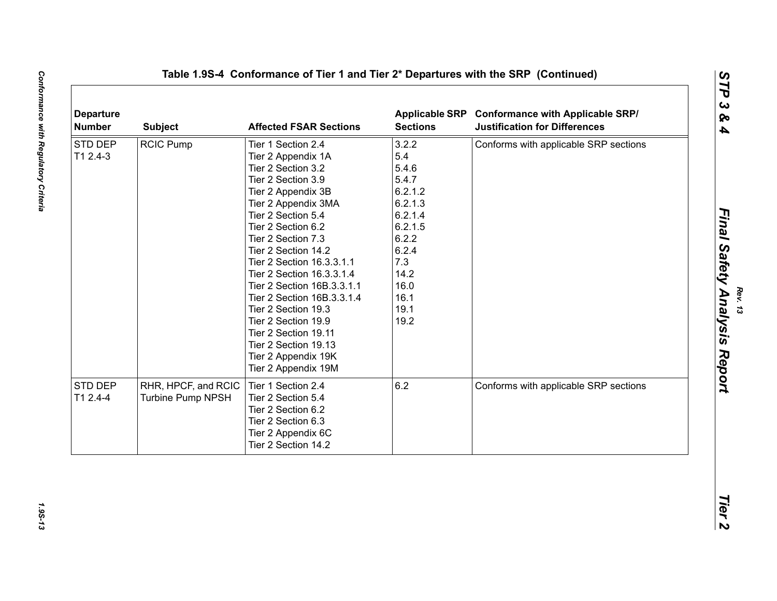| <b>Departure</b><br><b>Number</b> | <b>Subject</b>           | <b>Affected FSAR Sections</b> | <b>Applicable SRP</b><br><b>Sections</b> | <b>Conformance with Applicable SRP/</b><br><b>Justification for Differences</b> |
|-----------------------------------|--------------------------|-------------------------------|------------------------------------------|---------------------------------------------------------------------------------|
| STD DEP                           | <b>RCIC Pump</b>         | Tier 1 Section 2.4            | 3.2.2                                    | Conforms with applicable SRP sections                                           |
| T1 2.4-3                          |                          | Tier 2 Appendix 1A            | 5.4                                      |                                                                                 |
|                                   |                          | Tier 2 Section 3.2            | 5.4.6                                    |                                                                                 |
|                                   |                          | Tier 2 Section 3.9            | 5.4.7                                    |                                                                                 |
|                                   |                          | Tier 2 Appendix 3B            | 6.2.1.2                                  |                                                                                 |
|                                   |                          | Tier 2 Appendix 3MA           | 6.2.1.3                                  |                                                                                 |
|                                   |                          | Tier 2 Section 5.4            | 6.2.1.4                                  |                                                                                 |
|                                   |                          | Tier 2 Section 6.2            | 6.2.1.5                                  |                                                                                 |
|                                   |                          | Tier 2 Section 7.3            | 6.2.2                                    |                                                                                 |
|                                   |                          | Tier 2 Section 14.2           | 6.2.4                                    |                                                                                 |
|                                   |                          | Tier 2 Section 16.3.3.1.1     | 7.3                                      |                                                                                 |
|                                   |                          | Tier 2 Section 16.3.3.1.4     | 14.2                                     |                                                                                 |
|                                   |                          | Tier 2 Section 16B.3.3.1.1    | 16.0                                     |                                                                                 |
|                                   |                          | Tier 2 Section 16B.3.3.1.4    | 16.1                                     |                                                                                 |
|                                   |                          | Tier 2 Section 19.3           | 19.1                                     |                                                                                 |
|                                   |                          | Tier 2 Section 19.9           | 19.2                                     |                                                                                 |
|                                   |                          | Tier 2 Section 19.11          |                                          |                                                                                 |
|                                   |                          | Tier 2 Section 19.13          |                                          |                                                                                 |
|                                   |                          | Tier 2 Appendix 19K           |                                          |                                                                                 |
|                                   |                          | Tier 2 Appendix 19M           |                                          |                                                                                 |
| <b>STD DEP</b>                    | RHR, HPCF, and RCIC      | Tier 1 Section 2.4            | 6.2                                      | Conforms with applicable SRP sections                                           |
| T1 2.4-4                          | <b>Turbine Pump NPSH</b> | Tier 2 Section 5.4            |                                          |                                                                                 |
|                                   |                          | Tier 2 Section 6.2            |                                          |                                                                                 |
|                                   |                          | Tier 2 Section 6.3            |                                          |                                                                                 |
|                                   |                          | Tier 2 Appendix 6C            |                                          |                                                                                 |
|                                   |                          | Tier 2 Section 14.2           |                                          |                                                                                 |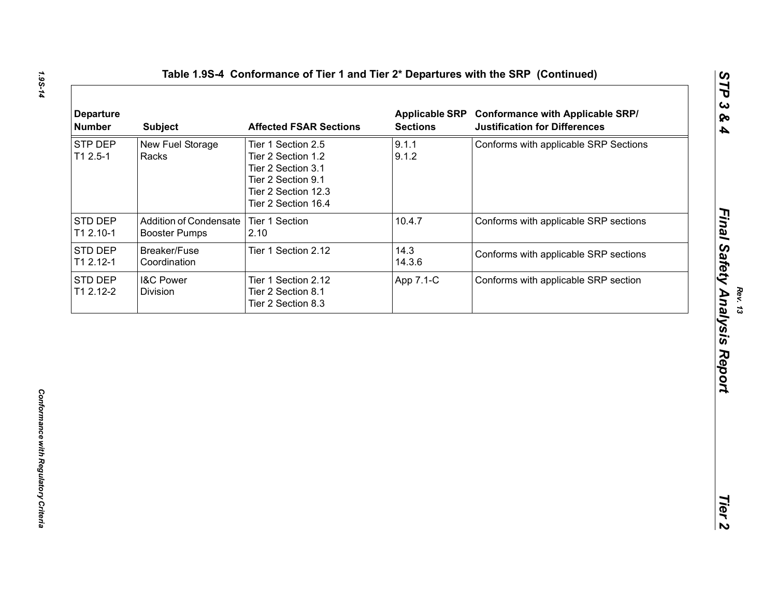| <b>Departure</b><br><b>Number</b> | <b>Subject</b>                                        | <b>Affected FSAR Sections</b>                                                                                                      | <b>Applicable SRP</b><br><b>Sections</b> | <b>Conformance with Applicable SRP/</b><br><b>Justification for Differences</b> |
|-----------------------------------|-------------------------------------------------------|------------------------------------------------------------------------------------------------------------------------------------|------------------------------------------|---------------------------------------------------------------------------------|
| STP DEP<br>$T12.5-1$              | New Fuel Storage<br>Racks                             | Tier 1 Section 2.5<br>Tier 2 Section 1.2<br>Tier 2 Section 3.1<br>Tier 2 Section 9.1<br>Tier 2 Section 12.3<br>Tier 2 Section 16.4 | 9.1.1<br>9.1.2                           | Conforms with applicable SRP Sections                                           |
| STD DEP<br>T1 2.10-1              | <b>Addition of Condensate</b><br><b>Booster Pumps</b> | Tier 1 Section<br>2.10                                                                                                             | 10.4.7                                   | Conforms with applicable SRP sections                                           |
| <b>STD DEP</b><br>T1 2.12-1       | Breaker/Fuse<br>Coordination                          | Tier 1 Section 2.12                                                                                                                | 14.3<br>14.3.6                           | Conforms with applicable SRP sections                                           |
| STD DEP<br>T1 2.12-2              | <b>I&amp;C Power</b><br>Division                      | Tier 1 Section 2.12<br>Tier 2 Section 8.1<br>Tier 2 Section 8.3                                                                    | App 7.1-C                                | Conforms with applicable SRP section                                            |
|                                   |                                                       |                                                                                                                                    |                                          |                                                                                 |
|                                   |                                                       |                                                                                                                                    |                                          |                                                                                 |
|                                   |                                                       |                                                                                                                                    |                                          |                                                                                 |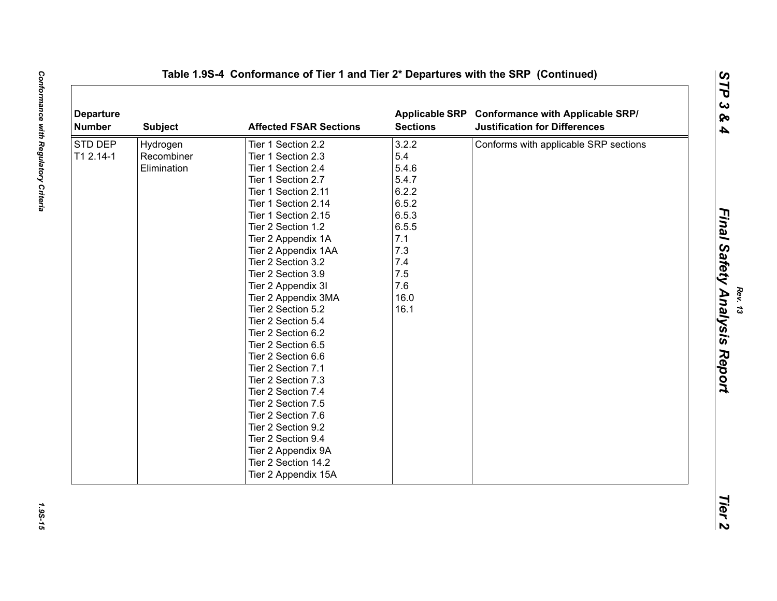| <b>Departure</b><br>Number | <b>Subject</b> | <b>Affected FSAR Sections</b> | <b>Sections</b> | Applicable SRP Conformance with Applicable SRP/<br><b>Justification for Differences</b> |
|----------------------------|----------------|-------------------------------|-----------------|-----------------------------------------------------------------------------------------|
| STD DEP                    | Hydrogen       | Tier 1 Section 2.2            | 3.2.2           | Conforms with applicable SRP sections                                                   |
| T1 2.14-1                  | Recombiner     | Tier 1 Section 2.3            | 5.4             |                                                                                         |
|                            | Elimination    | Tier 1 Section 2.4            | 5.4.6           |                                                                                         |
|                            |                | Tier 1 Section 2.7            | 5.4.7           |                                                                                         |
|                            |                | Tier 1 Section 2.11           | 6.2.2           |                                                                                         |
|                            |                | Tier 1 Section 2.14           | 6.5.2           |                                                                                         |
|                            |                | Tier 1 Section 2.15           | 6.5.3           |                                                                                         |
|                            |                | Tier 2 Section 1.2            | 6.5.5           |                                                                                         |
|                            |                | Tier 2 Appendix 1A            | 7.1             |                                                                                         |
|                            |                | Tier 2 Appendix 1AA           | 7.3             |                                                                                         |
|                            |                | Tier 2 Section 3.2            | 7.4             |                                                                                         |
|                            |                | Tier 2 Section 3.9            | 7.5             |                                                                                         |
|                            |                | Tier 2 Appendix 3I            | 7.6             |                                                                                         |
|                            |                | Tier 2 Appendix 3MA           | 16.0            |                                                                                         |
|                            |                | Tier 2 Section 5.2            | 16.1            |                                                                                         |
|                            |                | Tier 2 Section 5.4            |                 |                                                                                         |
|                            |                | Tier 2 Section 6.2            |                 |                                                                                         |
|                            |                | Tier 2 Section 6.5            |                 |                                                                                         |
|                            |                | Tier 2 Section 6.6            |                 |                                                                                         |
|                            |                | Tier 2 Section 7.1            |                 |                                                                                         |
|                            |                | Tier 2 Section 7.3            |                 |                                                                                         |
|                            |                | Tier 2 Section 7.4            |                 |                                                                                         |
|                            |                | Tier 2 Section 7.5            |                 |                                                                                         |
|                            |                | Tier 2 Section 7.6            |                 |                                                                                         |
|                            |                | Tier 2 Section 9.2            |                 |                                                                                         |
|                            |                | Tier 2 Section 9.4            |                 |                                                                                         |
|                            |                | Tier 2 Appendix 9A            |                 |                                                                                         |
|                            |                | Tier 2 Section 14.2           |                 |                                                                                         |
|                            |                | Tier 2 Appendix 15A           |                 |                                                                                         |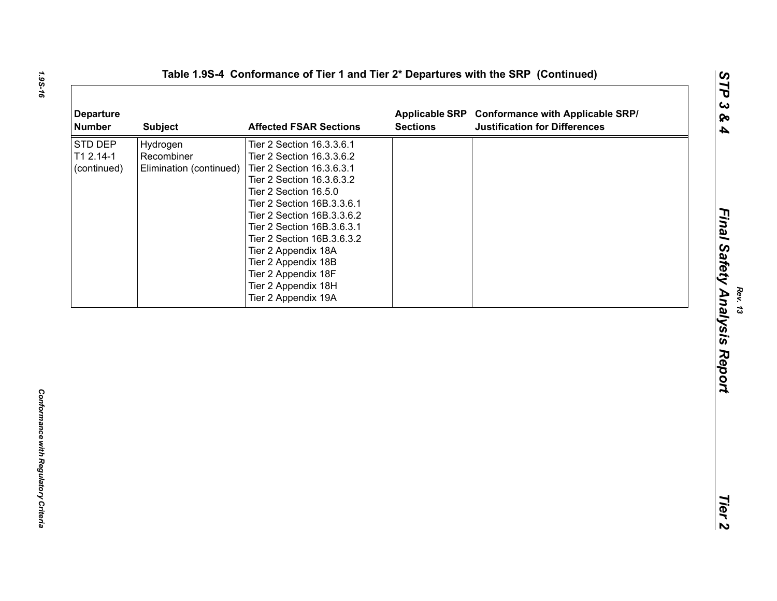| <b>Departure</b><br><b>Number</b>          | <b>Subject</b>                                    | <b>Affected FSAR Sections</b>                                                                                                                                                                                                                                                                                                                                                        | <b>Applicable SRP</b><br><b>Sections</b> | <b>Conformance with Applicable SRP/</b><br><b>Justification for Differences</b> |  |
|--------------------------------------------|---------------------------------------------------|--------------------------------------------------------------------------------------------------------------------------------------------------------------------------------------------------------------------------------------------------------------------------------------------------------------------------------------------------------------------------------------|------------------------------------------|---------------------------------------------------------------------------------|--|
| <b>STD DEP</b><br>T1 2.14-1<br>(continued) | Hydrogen<br>Recombiner<br>Elimination (continued) | Tier 2 Section 16.3.3.6.1<br>Tier 2 Section 16.3.3.6.2<br>Tier 2 Section 16.3.6.3.1<br>Tier 2 Section 16.3.6.3.2<br>Tier 2 Section 16.5.0<br>Tier 2 Section 16B.3.3.6.1<br>Tier 2 Section 16B.3.3.6.2<br>Tier 2 Section 16B.3.6.3.1<br>Tier 2 Section 16B.3.6.3.2<br>Tier 2 Appendix 18A<br>Tier 2 Appendix 18B<br>Tier 2 Appendix 18F<br>Tier 2 Appendix 18H<br>Tier 2 Appendix 19A |                                          |                                                                                 |  |
|                                            |                                                   |                                                                                                                                                                                                                                                                                                                                                                                      |                                          |                                                                                 |  |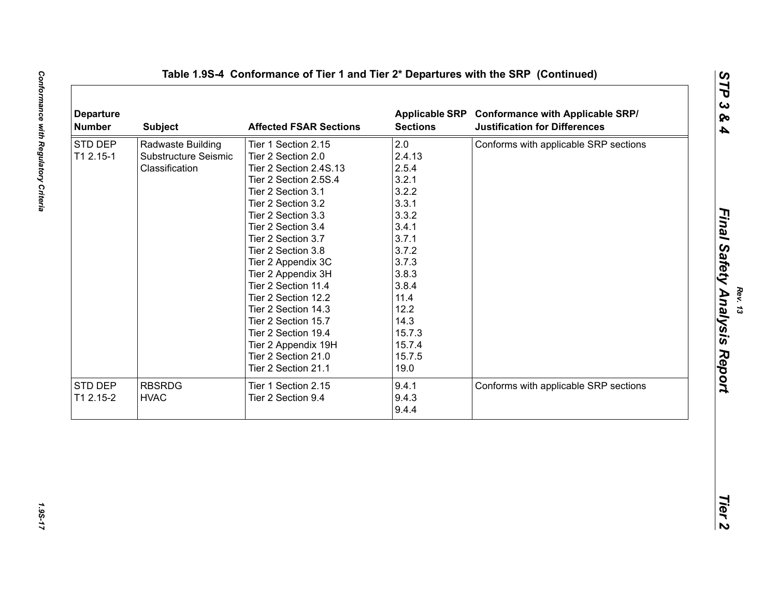| <b>Departure</b><br><b>Number</b> | <b>Subject</b>         | <b>Affected FSAR Sections</b> | <b>Sections</b> | Applicable SRP Conformance with Applicable SRP/<br><b>Justification for Differences</b> |
|-----------------------------------|------------------------|-------------------------------|-----------------|-----------------------------------------------------------------------------------------|
| <b>STD DEP</b>                    | Radwaste Building      | Tier 1 Section 2.15           | 2.0             | Conforms with applicable SRP sections                                                   |
| T1 2.15-1                         | Substructure Seismic   | Tier 2 Section 2.0            | 2.4.13          |                                                                                         |
| Classification                    | Tier 2 Section 2.4S.13 | 2.5.4                         |                 |                                                                                         |
|                                   |                        | Tier 2 Section 2.5S.4         | 3.2.1           |                                                                                         |
|                                   |                        | Tier 2 Section 3.1            | 3.2.2           |                                                                                         |
|                                   |                        | Tier 2 Section 3.2            | 3.3.1           |                                                                                         |
|                                   |                        | Tier 2 Section 3.3            | 3.3.2           |                                                                                         |
|                                   |                        | Tier 2 Section 3.4            | 3.4.1           |                                                                                         |
|                                   |                        | Tier 2 Section 3.7            | 3.7.1           |                                                                                         |
|                                   |                        | Tier 2 Section 3.8            | 3.7.2           |                                                                                         |
|                                   |                        | Tier 2 Appendix 3C            | 3.7.3           |                                                                                         |
|                                   |                        | Tier 2 Appendix 3H            | 3.8.3           |                                                                                         |
|                                   |                        | Tier 2 Section 11.4           | 3.8.4           |                                                                                         |
|                                   |                        | Tier 2 Section 12.2           | 11.4            |                                                                                         |
|                                   |                        | Tier 2 Section 14.3           | 12.2            |                                                                                         |
|                                   |                        | Tier 2 Section 15.7           | 14.3            |                                                                                         |
|                                   |                        | Tier 2 Section 19.4           | 15.7.3          |                                                                                         |
|                                   |                        | Tier 2 Appendix 19H           | 15.7.4          |                                                                                         |
|                                   |                        | Tier 2 Section 21.0           | 15.7.5          |                                                                                         |
|                                   |                        | Tier 2 Section 21.1           | 19.0            |                                                                                         |
| STD DEP                           | <b>RBSRDG</b>          | Tier 1 Section 2.15           | 9.4.1           | Conforms with applicable SRP sections                                                   |
| T1 2.15-2                         | <b>HVAC</b>            | Tier 2 Section 9.4            | 9.4.3           |                                                                                         |
|                                   |                        |                               | 9.4.4           |                                                                                         |
|                                   |                        |                               |                 |                                                                                         |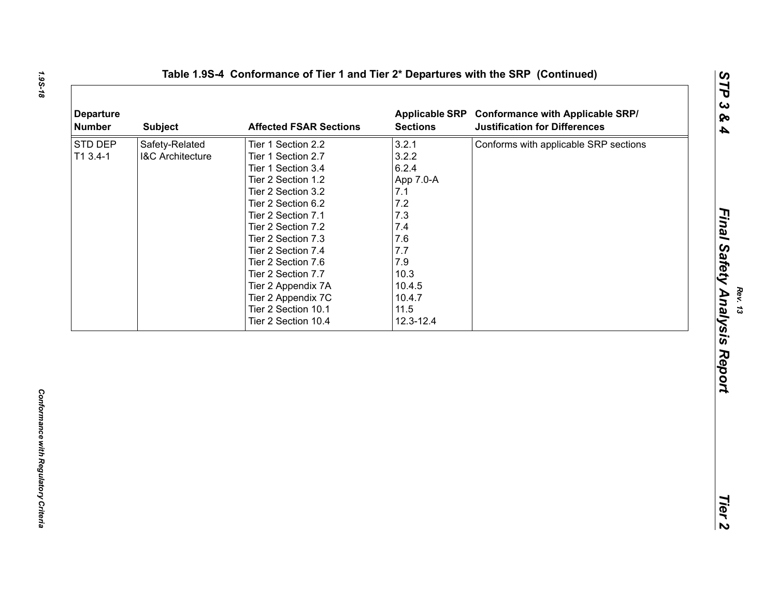| <b>Departure</b><br><b>Number</b> | <b>Subject</b>              | <b>Affected FSAR Sections</b> | <b>Applicable SRP</b><br><b>Sections</b> | <b>Conformance with Applicable SRP/</b><br><b>Justification for Differences</b> |
|-----------------------------------|-----------------------------|-------------------------------|------------------------------------------|---------------------------------------------------------------------------------|
| STD DEP                           | Safety-Related              | Tier 1 Section 2.2            | 3.2.1                                    | Conforms with applicable SRP sections                                           |
| $T13.4-1$                         | <b>I&amp;C Architecture</b> | Tier 1 Section 2.7            | 3.2.2                                    |                                                                                 |
|                                   |                             | Tier 1 Section 3.4            | 6.2.4                                    |                                                                                 |
|                                   |                             | Tier 2 Section 1.2            | App 7.0-A                                |                                                                                 |
|                                   |                             | Tier 2 Section 3.2            | 7.1                                      |                                                                                 |
|                                   |                             | Tier 2 Section 6.2            | 7.2                                      |                                                                                 |
|                                   |                             | Tier 2 Section 7.1            | 7.3                                      |                                                                                 |
|                                   |                             | Tier 2 Section 7.2            | 7.4                                      |                                                                                 |
|                                   |                             | Tier 2 Section 7.3            | 7.6                                      |                                                                                 |
|                                   |                             | Tier 2 Section 7.4            | 7.7                                      |                                                                                 |
|                                   |                             | Tier 2 Section 7.6            | 7.9                                      |                                                                                 |
|                                   |                             | Tier 2 Section 7.7            | 10.3                                     |                                                                                 |
|                                   |                             | Tier 2 Appendix 7A            | 10.4.5                                   |                                                                                 |
|                                   |                             | Tier 2 Appendix 7C            | 10.4.7                                   |                                                                                 |
|                                   |                             | Tier 2 Section 10.1           | 11.5                                     |                                                                                 |
|                                   |                             | Tier 2 Section 10.4           | 12.3-12.4                                |                                                                                 |
|                                   |                             |                               |                                          |                                                                                 |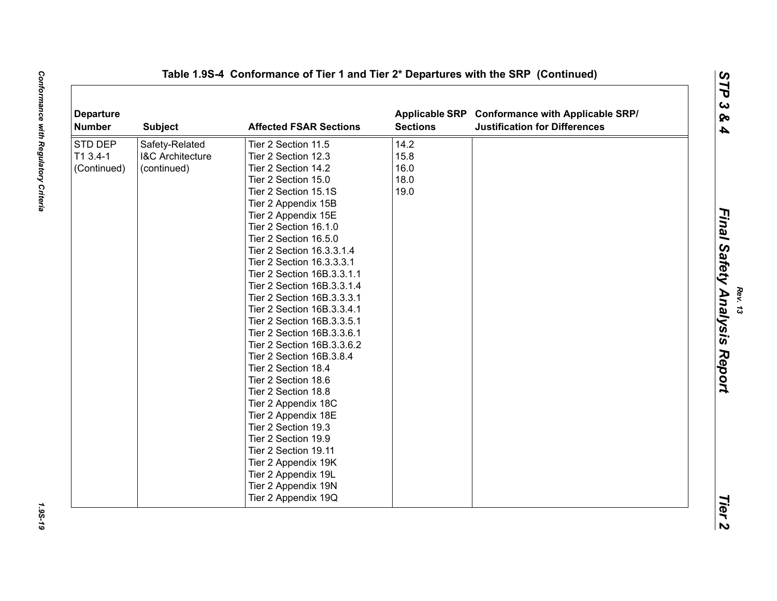| <b>Departure</b><br><b>Number</b> | <b>Subject</b>              | <b>Affected FSAR Sections</b> | <b>Sections</b> | Applicable SRP Conformance with Applicable SRP/<br><b>Justification for Differences</b> |  |
|-----------------------------------|-----------------------------|-------------------------------|-----------------|-----------------------------------------------------------------------------------------|--|
| STD DEP                           | Safety-Related              | Tier 2 Section 11.5           | 14.2            |                                                                                         |  |
| T1 3.4-1                          | <b>I&amp;C Architecture</b> | Tier 2 Section 12.3           | 15.8            |                                                                                         |  |
| (Continued)                       | (continued)                 | Tier 2 Section 14.2           | 16.0            |                                                                                         |  |
|                                   |                             | Tier 2 Section 15.0           | 18.0            |                                                                                         |  |
|                                   |                             | Tier 2 Section 15.1S          | 19.0            |                                                                                         |  |
|                                   |                             | Tier 2 Appendix 15B           |                 |                                                                                         |  |
|                                   |                             | Tier 2 Appendix 15E           |                 |                                                                                         |  |
|                                   |                             | Tier 2 Section 16.1.0         |                 |                                                                                         |  |
|                                   |                             | Tier 2 Section 16.5.0         |                 |                                                                                         |  |
|                                   |                             | Tier 2 Section 16.3.3.1.4     |                 |                                                                                         |  |
|                                   |                             | Tier 2 Section 16.3.3.3.1     |                 |                                                                                         |  |
|                                   |                             | Tier 2 Section 16B.3.3.1.1    |                 |                                                                                         |  |
|                                   |                             | Tier 2 Section 16B.3.3.1.4    |                 |                                                                                         |  |
|                                   |                             | Tier 2 Section 16B.3.3.3.1    |                 |                                                                                         |  |
|                                   |                             | Tier 2 Section 16B.3.3.4.1    |                 |                                                                                         |  |
|                                   |                             | Tier 2 Section 16B.3.3.5.1    |                 |                                                                                         |  |
|                                   |                             | Tier 2 Section 16B.3.3.6.1    |                 |                                                                                         |  |
|                                   |                             | Tier 2 Section 16B.3.3.6.2    |                 |                                                                                         |  |
|                                   |                             | Tier 2 Section 16B.3.8.4      |                 |                                                                                         |  |
|                                   |                             | Tier 2 Section 18.4           |                 |                                                                                         |  |
|                                   |                             | Tier 2 Section 18.6           |                 |                                                                                         |  |
|                                   |                             | Tier 2 Section 18.8           |                 |                                                                                         |  |
|                                   |                             | Tier 2 Appendix 18C           |                 |                                                                                         |  |
|                                   |                             | Tier 2 Appendix 18E           |                 |                                                                                         |  |
|                                   |                             | Tier 2 Section 19.3           |                 |                                                                                         |  |
|                                   |                             | Tier 2 Section 19.9           |                 |                                                                                         |  |
|                                   |                             | Tier 2 Section 19.11          |                 |                                                                                         |  |
|                                   |                             | Tier 2 Appendix 19K           |                 |                                                                                         |  |
|                                   |                             | Tier 2 Appendix 19L           |                 |                                                                                         |  |
|                                   |                             | Tier 2 Appendix 19N           |                 |                                                                                         |  |
|                                   |                             | Tier 2 Appendix 19Q           |                 |                                                                                         |  |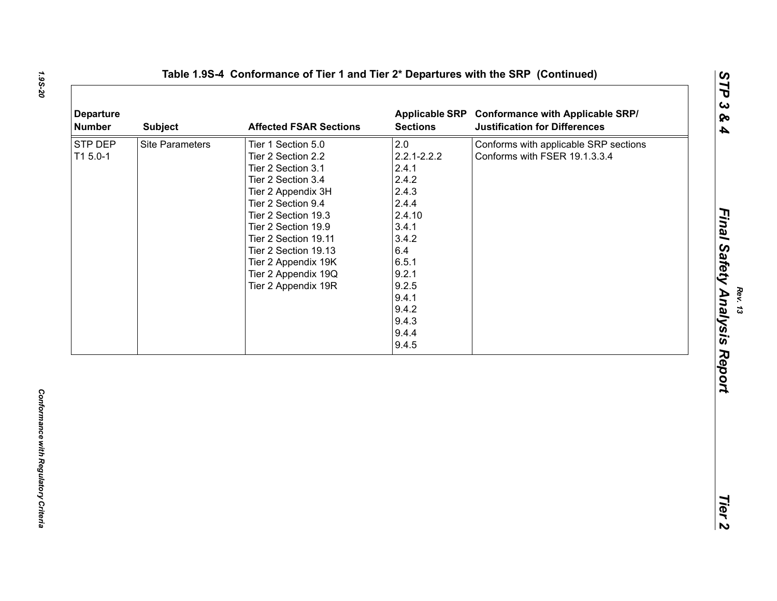| <b>Departure</b><br><b>Number</b> | <b>Subject</b>         | <b>Affected FSAR Sections</b>                                                                                                                                                                                                                                                                       | <b>Applicable SRP</b><br><b>Sections</b>                                                                                                                              | <b>Conformance with Applicable SRP/</b><br><b>Justification for Differences</b> |
|-----------------------------------|------------------------|-----------------------------------------------------------------------------------------------------------------------------------------------------------------------------------------------------------------------------------------------------------------------------------------------------|-----------------------------------------------------------------------------------------------------------------------------------------------------------------------|---------------------------------------------------------------------------------|
| STP DEP<br>T1 5.0-1               | <b>Site Parameters</b> | Tier 1 Section 5.0<br>Tier 2 Section 2.2<br>Tier 2 Section 3.1<br>Tier 2 Section 3.4<br>Tier 2 Appendix 3H<br>Tier 2 Section 9.4<br>Tier 2 Section 19.3<br>Tier 2 Section 19.9<br>Tier 2 Section 19.11<br>Tier 2 Section 19.13<br>Tier 2 Appendix 19K<br>Tier 2 Appendix 19Q<br>Tier 2 Appendix 19R | 2.0<br>$2.2.1 - 2.2.2$<br>2.4.1<br>2.4.2<br>2.4.3<br>2.4.4<br>2.4.10<br>3.4.1<br>3.4.2<br>6.4<br>6.5.1<br>9.2.1<br>9.2.5<br>9.4.1<br>9.4.2<br>9.4.3<br>9.4.4<br>9.4.5 | Conforms with applicable SRP sections<br>Conforms with FSER 19.1.3.3.4          |
|                                   |                        |                                                                                                                                                                                                                                                                                                     |                                                                                                                                                                       |                                                                                 |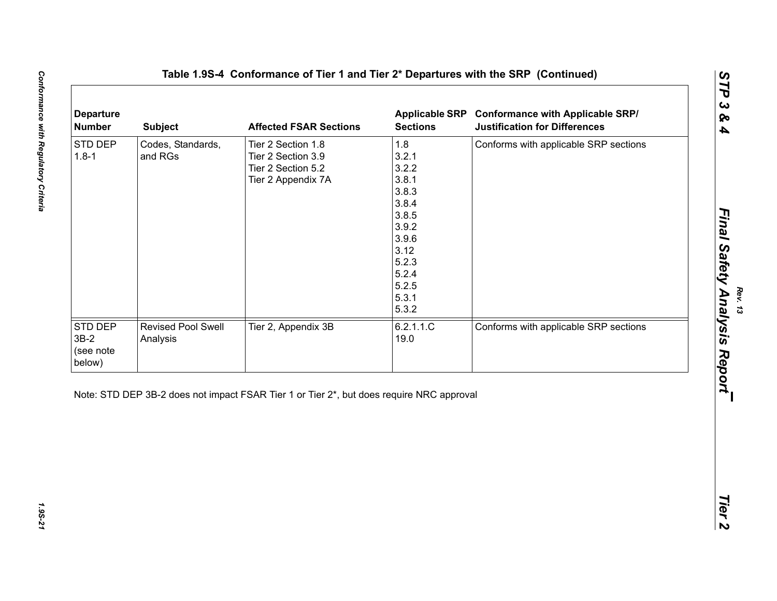| STD DEP<br>1.8<br>Codes, Standards,<br>Conforms with applicable SRP sections<br>Tier 2 Section 1.8<br>3.2.1<br>$1.8 - 1$<br>and RGs<br>Tier 2 Section 3.9<br>3.2.2<br>Tier 2 Section 5.2<br>3.8.1<br>Tier 2 Appendix 7A<br>3.8.3<br>3.8.4<br>3.8.5<br>3.9.2<br>3.9.6<br>3.12<br>5.2.3<br>5.2.4<br>5.2.5<br>5.3.1<br>5.3.2<br>6.2.1.1.C<br><b>Revised Pool Swell</b><br>Tier 2, Appendix 3B<br>Conforms with applicable SRP sections<br>19.0<br>Analysis |
|---------------------------------------------------------------------------------------------------------------------------------------------------------------------------------------------------------------------------------------------------------------------------------------------------------------------------------------------------------------------------------------------------------------------------------------------------------|
| STD DEP<br>$3B-2$                                                                                                                                                                                                                                                                                                                                                                                                                                       |
| (see note<br>below)                                                                                                                                                                                                                                                                                                                                                                                                                                     |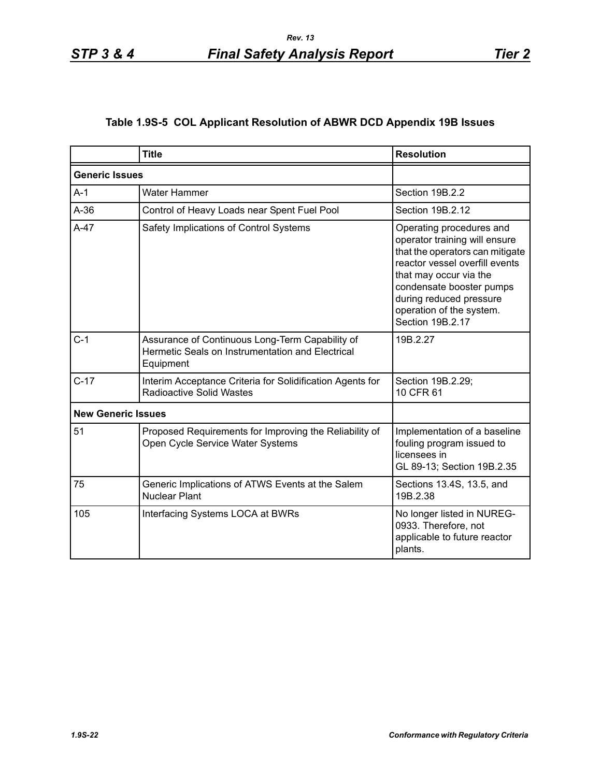# **Table 1.9S-5 COL Applicant Resolution of ABWR DCD Appendix 19B Issues**

|                           | <b>Title</b>                                                                                                     | <b>Resolution</b>                                                                                                                                                                                                                                               |
|---------------------------|------------------------------------------------------------------------------------------------------------------|-----------------------------------------------------------------------------------------------------------------------------------------------------------------------------------------------------------------------------------------------------------------|
| <b>Generic Issues</b>     |                                                                                                                  |                                                                                                                                                                                                                                                                 |
| $A-1$                     | <b>Water Hammer</b>                                                                                              | Section 19B.2.2                                                                                                                                                                                                                                                 |
| $A-36$                    | Control of Heavy Loads near Spent Fuel Pool                                                                      | Section 19B.2.12                                                                                                                                                                                                                                                |
| $A-47$                    | Safety Implications of Control Systems                                                                           | Operating procedures and<br>operator training will ensure<br>that the operators can mitigate<br>reactor vessel overfill events<br>that may occur via the<br>condensate booster pumps<br>during reduced pressure<br>operation of the system.<br>Section 19B.2.17 |
| $C-1$                     | Assurance of Continuous Long-Term Capability of<br>Hermetic Seals on Instrumentation and Electrical<br>Equipment | 19B.2.27                                                                                                                                                                                                                                                        |
| $C-17$                    | Interim Acceptance Criteria for Solidification Agents for<br><b>Radioactive Solid Wastes</b>                     | Section 19B.2.29;<br>10 CFR 61                                                                                                                                                                                                                                  |
| <b>New Generic Issues</b> |                                                                                                                  |                                                                                                                                                                                                                                                                 |
| 51                        | Proposed Requirements for Improving the Reliability of<br>Open Cycle Service Water Systems                       | Implementation of a baseline<br>fouling program issued to<br>licensees in<br>GL 89-13; Section 19B.2.35                                                                                                                                                         |
| 75                        | Generic Implications of ATWS Events at the Salem<br><b>Nuclear Plant</b>                                         | Sections 13.4S, 13.5, and<br>19B.2.38                                                                                                                                                                                                                           |
| 105                       | Interfacing Systems LOCA at BWRs                                                                                 | No longer listed in NUREG-<br>0933. Therefore, not<br>applicable to future reactor<br>plants.                                                                                                                                                                   |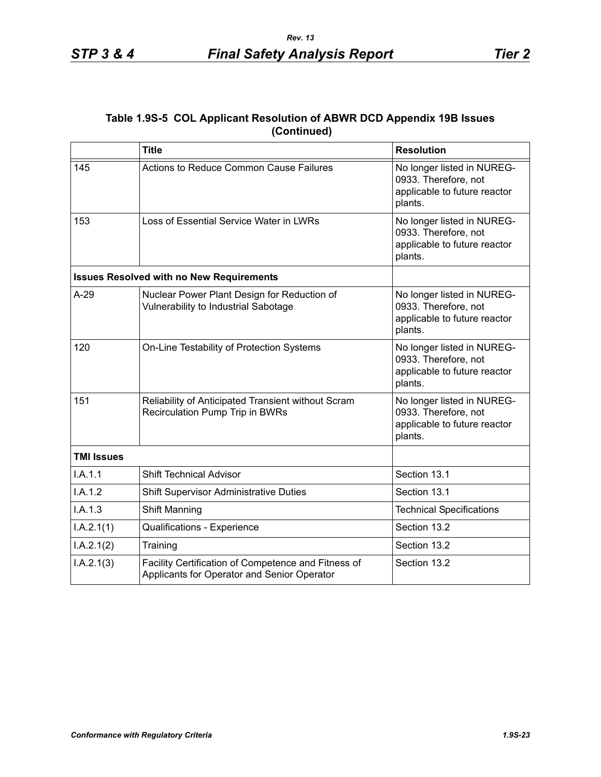# **Table 1.9S-5 COL Applicant Resolution of ABWR DCD Appendix 19B Issues (Continued)**

|                   | <b>Title</b>                                                                                       | <b>Resolution</b>                                                                             |
|-------------------|----------------------------------------------------------------------------------------------------|-----------------------------------------------------------------------------------------------|
| 145               | <b>Actions to Reduce Common Cause Failures</b>                                                     | No longer listed in NUREG-<br>0933. Therefore, not<br>applicable to future reactor<br>plants. |
| 153               | Loss of Essential Service Water in LWRs                                                            | No longer listed in NUREG-<br>0933. Therefore, not<br>applicable to future reactor<br>plants. |
|                   | <b>Issues Resolved with no New Requirements</b>                                                    |                                                                                               |
| $A-29$            | Nuclear Power Plant Design for Reduction of<br>Vulnerability to Industrial Sabotage                | No longer listed in NUREG-<br>0933. Therefore, not<br>applicable to future reactor<br>plants. |
| 120               | On-Line Testability of Protection Systems                                                          | No longer listed in NUREG-<br>0933. Therefore, not<br>applicable to future reactor<br>plants. |
| 151               | Reliability of Anticipated Transient without Scram<br>Recirculation Pump Trip in BWRs              | No longer listed in NUREG-<br>0933. Therefore, not<br>applicable to future reactor<br>plants. |
| <b>TMI Issues</b> |                                                                                                    |                                                                                               |
| I.A.1.1           | <b>Shift Technical Advisor</b>                                                                     | Section 13.1                                                                                  |
| I.A.1.2           | <b>Shift Supervisor Administrative Duties</b>                                                      | Section 13.1                                                                                  |
| I.A.1.3           | Shift Manning                                                                                      | <b>Technical Specifications</b>                                                               |
| I.A.2.1(1)        | Qualifications - Experience                                                                        | Section 13.2                                                                                  |
| I.A.2.1(2)        | Training                                                                                           | Section 13.2                                                                                  |
| I.A.2.1(3)        | Facility Certification of Competence and Fitness of<br>Applicants for Operator and Senior Operator | Section 13.2                                                                                  |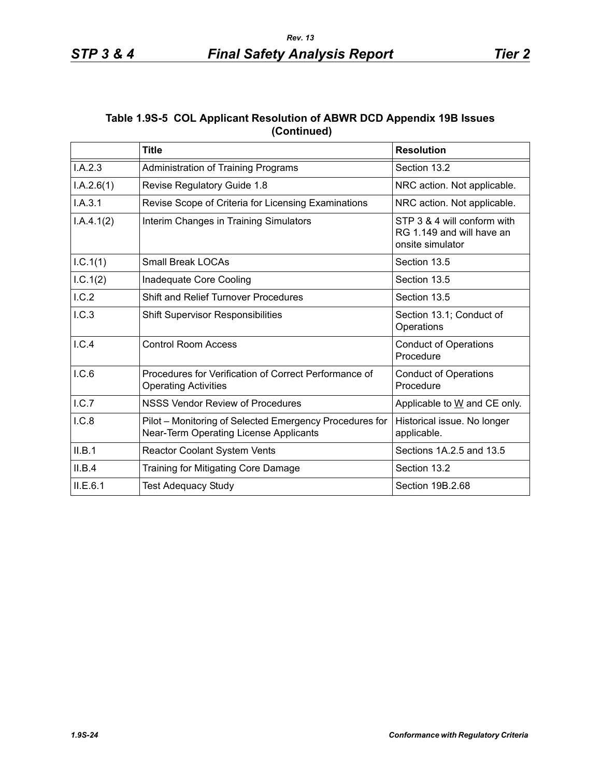|             | Table 1.9S-5 COL Applicant Resolution of ABWR DCD Appendix 19B Issues |  |
|-------------|-----------------------------------------------------------------------|--|
| (Continued) |                                                                       |  |

|            | <b>Title</b>                                                                                      | <b>Resolution</b>                                                            |
|------------|---------------------------------------------------------------------------------------------------|------------------------------------------------------------------------------|
| I.A.2.3    | Administration of Training Programs                                                               | Section 13.2                                                                 |
| I.A.2.6(1) | Revise Regulatory Guide 1.8                                                                       | NRC action. Not applicable.                                                  |
| I.A.3.1    | Revise Scope of Criteria for Licensing Examinations                                               | NRC action. Not applicable.                                                  |
| I.A.4.1(2) | Interim Changes in Training Simulators                                                            | STP 3 & 4 will conform with<br>RG 1.149 and will have an<br>onsite simulator |
| I.C.1(1)   | <b>Small Break LOCAs</b>                                                                          | Section 13.5                                                                 |
| 1.C.1(2)   | Inadequate Core Cooling                                                                           | Section 13.5                                                                 |
| I.C.2      | <b>Shift and Relief Turnover Procedures</b>                                                       | Section 13.5                                                                 |
| I.C.3      | <b>Shift Supervisor Responsibilities</b>                                                          | Section 13.1; Conduct of<br>Operations                                       |
| I.C.4      | <b>Control Room Access</b>                                                                        | <b>Conduct of Operations</b><br>Procedure                                    |
| I.C.6      | Procedures for Verification of Correct Performance of<br><b>Operating Activities</b>              | <b>Conduct of Operations</b><br>Procedure                                    |
| I.C.7      | <b>NSSS Vendor Review of Procedures</b>                                                           | Applicable to W and CE only.                                                 |
| I.C.8      | Pilot - Monitoring of Selected Emergency Procedures for<br>Near-Term Operating License Applicants | Historical issue. No longer<br>applicable.                                   |
| II.B.1     | Reactor Coolant System Vents                                                                      | Sections 1A.2.5 and 13.5                                                     |
| II.B.4     | Training for Mitigating Core Damage                                                               | Section 13.2                                                                 |
| ILE.6.1    | <b>Test Adequacy Study</b>                                                                        | Section 19B.2.68                                                             |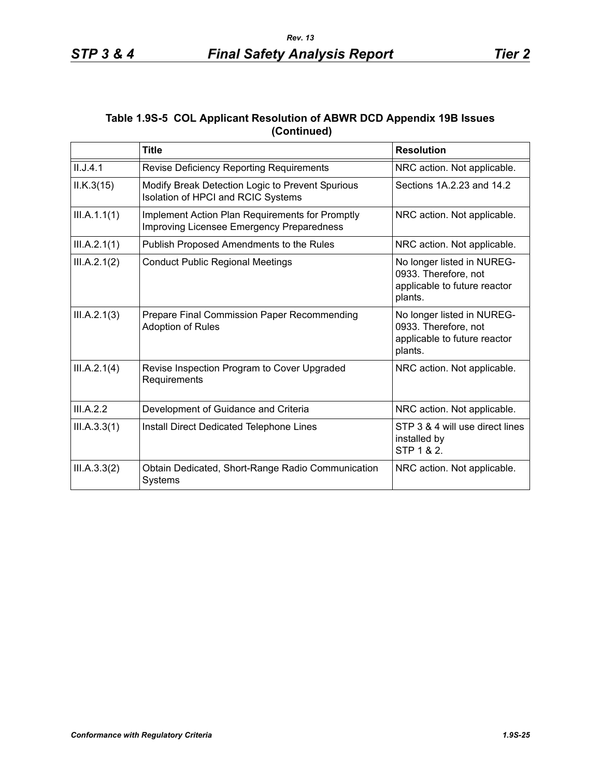# **Table 1.9S-5 COL Applicant Resolution of ABWR DCD Appendix 19B Issues (Continued)**

|              | <b>Title</b>                                                                                 | <b>Resolution</b>                                                                             |
|--------------|----------------------------------------------------------------------------------------------|-----------------------------------------------------------------------------------------------|
| II.J.4.1     | <b>Revise Deficiency Reporting Requirements</b>                                              | NRC action. Not applicable.                                                                   |
| ILK.3(15)    | Modify Break Detection Logic to Prevent Spurious<br>Isolation of HPCI and RCIC Systems       | Sections 1A.2.23 and 14.2                                                                     |
| III.A.1.1(1) | Implement Action Plan Requirements for Promptly<br>Improving Licensee Emergency Preparedness | NRC action. Not applicable.                                                                   |
| III.A.2.1(1) | Publish Proposed Amendments to the Rules                                                     | NRC action. Not applicable.                                                                   |
| III.A.2.1(2) | <b>Conduct Public Regional Meetings</b>                                                      | No longer listed in NUREG-<br>0933. Therefore, not<br>applicable to future reactor<br>plants. |
| III.A.2.1(3) | Prepare Final Commission Paper Recommending<br>Adoption of Rules                             | No longer listed in NUREG-<br>0933. Therefore, not<br>applicable to future reactor<br>plants. |
| III.A.2.1(4) | Revise Inspection Program to Cover Upgraded<br>Requirements                                  | NRC action. Not applicable.                                                                   |
| III.A.2.2    | Development of Guidance and Criteria                                                         | NRC action. Not applicable.                                                                   |
| III.A.3.3(1) | Install Direct Dedicated Telephone Lines                                                     | STP 3 & 4 will use direct lines<br>installed by<br>STP 1 & 2.                                 |
| III.A.3.3(2) | Obtain Dedicated, Short-Range Radio Communication<br>Systems                                 | NRC action. Not applicable.                                                                   |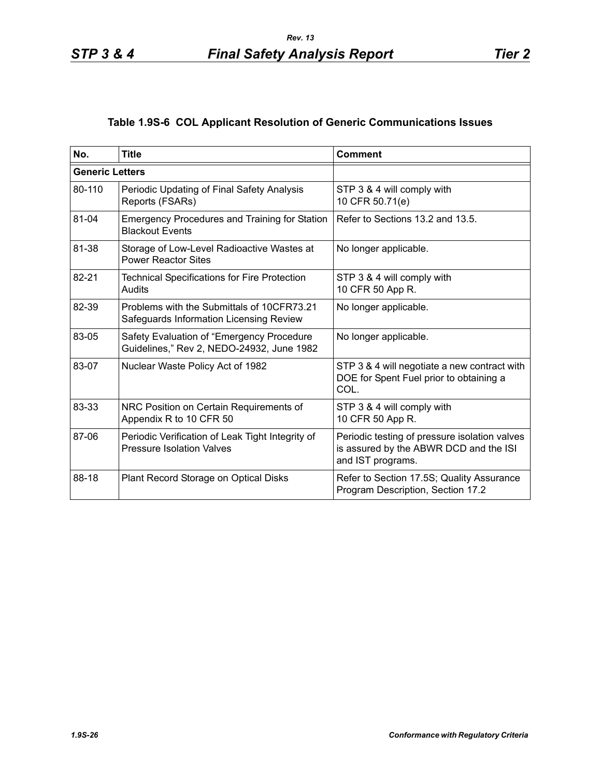# **Table 1.9S-6 COL Applicant Resolution of Generic Communications Issues**

| No.                    | <b>Title</b>                                                                           | <b>Comment</b>                                                                                               |
|------------------------|----------------------------------------------------------------------------------------|--------------------------------------------------------------------------------------------------------------|
| <b>Generic Letters</b> |                                                                                        |                                                                                                              |
| 80-110                 | Periodic Updating of Final Safety Analysis<br>Reports (FSARs)                          | STP 3 & 4 will comply with<br>10 CFR 50.71(e)                                                                |
| 81-04                  | <b>Emergency Procedures and Training for Station</b><br><b>Blackout Events</b>         | Refer to Sections 13.2 and 13.5.                                                                             |
| 81-38                  | Storage of Low-Level Radioactive Wastes at<br><b>Power Reactor Sites</b>               | No longer applicable.                                                                                        |
| 82-21                  | <b>Technical Specifications for Fire Protection</b><br>Audits                          | STP 3 & 4 will comply with<br>10 CFR 50 App R.                                                               |
| 82-39                  | Problems with the Submittals of 10CFR73.21<br>Safeguards Information Licensing Review  | No longer applicable.                                                                                        |
| 83-05                  | Safety Evaluation of "Emergency Procedure<br>Guidelines," Rev 2, NEDO-24932, June 1982 | No longer applicable.                                                                                        |
| 83-07                  | Nuclear Waste Policy Act of 1982                                                       | STP 3 & 4 will negotiate a new contract with<br>DOE for Spent Fuel prior to obtaining a<br>COL.              |
| 83-33                  | NRC Position on Certain Requirements of<br>Appendix R to 10 CFR 50                     | STP 3 & 4 will comply with<br>10 CFR 50 App R.                                                               |
| 87-06                  | Periodic Verification of Leak Tight Integrity of<br><b>Pressure Isolation Valves</b>   | Periodic testing of pressure isolation valves<br>is assured by the ABWR DCD and the ISI<br>and IST programs. |
| 88-18                  | Plant Record Storage on Optical Disks                                                  | Refer to Section 17.5S; Quality Assurance<br>Program Description, Section 17.2                               |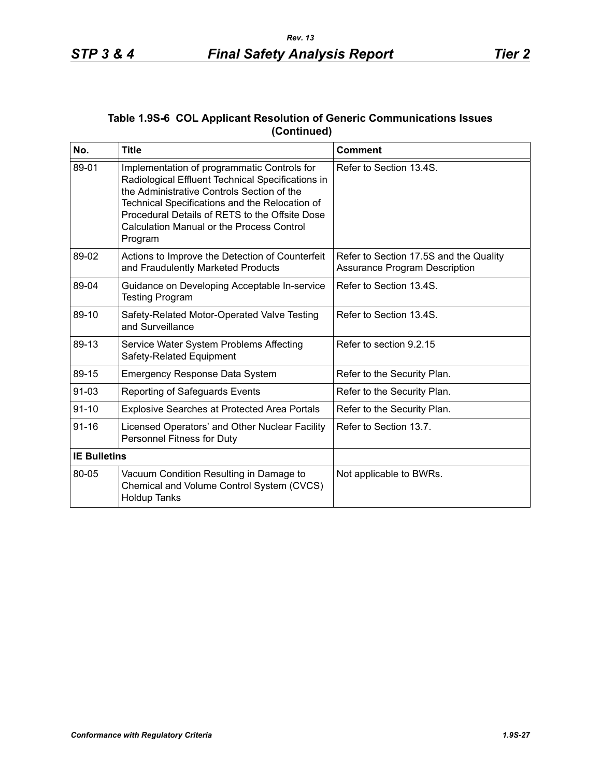|             | Table 1.9S-6 COL Applicant Resolution of Generic Communications Issues |  |
|-------------|------------------------------------------------------------------------|--|
| (Continued) |                                                                        |  |

| No.                 | <b>Title</b>                                                                                                                                                                                                                                                                                                      | <b>Comment</b>                                                                 |
|---------------------|-------------------------------------------------------------------------------------------------------------------------------------------------------------------------------------------------------------------------------------------------------------------------------------------------------------------|--------------------------------------------------------------------------------|
| 89-01               | Implementation of programmatic Controls for<br>Radiological Effluent Technical Specifications in<br>the Administrative Controls Section of the<br>Technical Specifications and the Relocation of<br>Procedural Details of RETS to the Offsite Dose<br><b>Calculation Manual or the Process Control</b><br>Program | Refer to Section 13.4S.                                                        |
| 89-02               | Actions to Improve the Detection of Counterfeit<br>and Fraudulently Marketed Products                                                                                                                                                                                                                             | Refer to Section 17.5S and the Quality<br><b>Assurance Program Description</b> |
| 89-04               | Guidance on Developing Acceptable In-service<br><b>Testing Program</b>                                                                                                                                                                                                                                            | Refer to Section 13.4S.                                                        |
| 89-10               | Safety-Related Motor-Operated Valve Testing<br>and Surveillance                                                                                                                                                                                                                                                   | Refer to Section 13.4S.                                                        |
| 89-13               | Service Water System Problems Affecting<br>Safety-Related Equipment                                                                                                                                                                                                                                               | Refer to section 9.2.15                                                        |
| 89-15               | <b>Emergency Response Data System</b>                                                                                                                                                                                                                                                                             | Refer to the Security Plan.                                                    |
| 91-03               | Reporting of Safeguards Events                                                                                                                                                                                                                                                                                    | Refer to the Security Plan.                                                    |
| $91 - 10$           | Explosive Searches at Protected Area Portals                                                                                                                                                                                                                                                                      | Refer to the Security Plan.                                                    |
| $91 - 16$           | Licensed Operators' and Other Nuclear Facility<br>Personnel Fitness for Duty                                                                                                                                                                                                                                      | Refer to Section 13.7.                                                         |
| <b>IE Bulletins</b> |                                                                                                                                                                                                                                                                                                                   |                                                                                |
| 80-05               | Vacuum Condition Resulting in Damage to<br>Chemical and Volume Control System (CVCS)<br><b>Holdup Tanks</b>                                                                                                                                                                                                       | Not applicable to BWRs.                                                        |